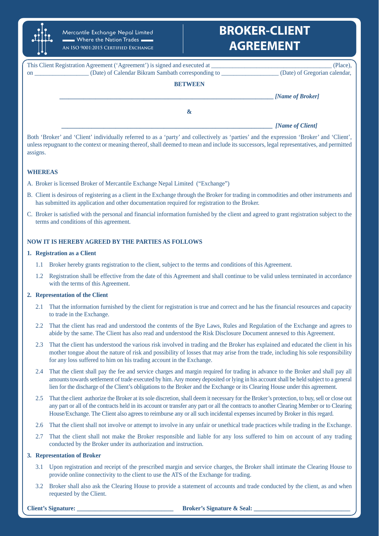

Mercantile Exchange Nepal Limited  $\blacksquare$  Where the Nation Trades  $\blacksquare$ **An ISO 9001:2015 Certified Exchange**

# **BROKER-CLIENT AGREEMENT**

|    | This Client Registration Agreement ('Agreement') is signed and executed at | (Place),                      |
|----|----------------------------------------------------------------------------|-------------------------------|
| on | (Date) of Calendar Bikram Sambath corresponding to                         | (Date) of Gregorian calendar, |
|    | <b>BETWEEN</b>                                                             |                               |
|    |                                                                            | [Name of Broker]              |
|    | $\boldsymbol{\alpha}$                                                      |                               |
|    |                                                                            | [Name of Client]              |

Both 'Broker' and 'Client' individually referred to as a 'party' and collectively as 'parties' and the expression 'Broker' and 'Client', unless repugnant to the context or meaning thereof, shall deemed to mean and include its successors, legal representatives, and permitted assigns.

# **WHEREAS**

- A. Broker is licensed Broker of Mercantile Exchange Nepal Limited ("Exchange")
- B. Client is desirous of registering as a client in the Exchange through the Broker for trading in commodities and other instruments and has submitted its application and other documentation required for registration to the Broker.
- C. Broker is satisfied with the personal and financial information furnished by the client and agreed to grant registration subject to the terms and conditions of this agreement.

# **NOW IT IS HEREBY AGREED BY THE PARTIES AS FOLLOWS**

## **1. Registration as a Client**

- 1.1 Broker hereby grants registration to the client, subject to the terms and conditions of this Agreement.
- 1.2 Registration shall be effective from the date of this Agreement and shall continue to be valid unless terminated in accordance with the terms of this Agreement.

# **2. Representation of the Client**

- 2.1 That the information furnished by the client for registration is true and correct and he has the financial resources and capacity to trade in the Exchange.
- 2.2 That the client has read and understood the contents of the Bye Laws, Rules and Regulation of the Exchange and agrees to abide by the same. The Client has also read and understood the Risk Disclosure Document annexed to this Agreement.
- 2.3 That the client has understood the various risk involved in trading and the Broker has explained and educated the client in his mother tongue about the nature of risk and possibility of losses that may arise from the trade, including his sole responsibility for any loss suffered to him on his trading account in the Exchange.
- 2.4 That the client shall pay the fee and service charges and margin required for trading in advance to the Broker and shall pay all amounts towards settlement of trade executed by him. Any money deposited or lying in his account shall be held subject to a general lien for the discharge of the Client's obligations to the Broker and the Exchange or its Clearing House under this agreement.
- 2.5 That the client authorize the Broker at its sole discretion, shall deem it necessary for the Broker's protection, to buy, sell or close out any part or all of the contracts held in its account or transfer any part or all the contracts to another Clearing Member or to Clearing House/Exchange. The Client also agrees to reimburse any or all such incidental expenses incurred by Broker in this regard.
- 2.6 That the client shall not involve or attempt to involve in any unfair or unethical trade practices while trading in the Exchange.
- 2.7 That the client shall not make the Broker responsible and liable for any loss suffered to him on account of any trading conducted by the Broker under its authorization and instruction.

# **3. Representation of Broker**

- 3.1 Upon registration and receipt of the prescribed margin and service charges, the Broker shall intimate the Clearing House to provide online connectivity to the client to use the ATS of the Exchange for trading.
- 3.2 Broker shall also ask the Clearing House to provide a statement of accounts and trade conducted by the client, as and when requested by the Client.

**Client's Signature: Client's Signature & Seal: Broker's Signature & Seal: Broker's Signature & Seal:**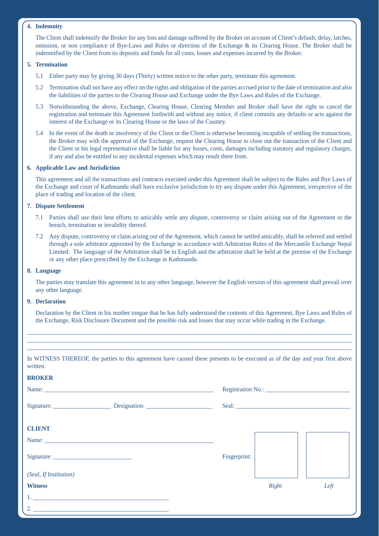# **4. Indemnity**

 The Client shall indemnify the Broker for any loss and damage suffered by the Broker on account of Client's default, delay, latches, omission, or non compliance of Bye-Laws and Rules or direction of the Exchange & its Clearing House. The Broker shall be indemnified by the Client from its deposits and funds for all costs, losses and expenses incurred by the Broker.

## **5. Termination**

- 5.1 Either party may by giving 30 days (Thirty) written notice to the other party, terminate this agreement.
- 5.2 Termination shall not have any effect on the rights and obligation of the parties accrued prior to the date of termination and also the liabilities of the parties to the Clearing House and Exchange under the Bye Laws and Rules of the Exchange.
- 5.3 Notwithstanding the above, Exchange, Clearing House, Clearing Member and Broker shall have the right to cancel the registration and terminate this Agreement forthwith and without any notice, if client commits any defaults or acts against the interest of the Exchange or its Clearing House or the laws of the Country.

5.4 In the event of the death or insolvency of the Client or the Client is otherwise becoming incapable of settling the transactions, the Broker may with the approval of the Exchange, request the Clearing House to close out the transaction of the Client and the Client or his legal representative shall be liable for any losses, costs, damages including statutory and regulatory charges, if any and also be entitled to any incidental expenses which may result there from.

### **6. Applicable Law and Jurisdiction**

 This agreement and all the transactions and contracts executed under this Agreement shall be subject to the Rules and Bye Laws of the Exchange and court of Kathmandu shall have exclusive jurisdiction to try any dispute under this Agreement, irrespective of the place of trading and location of the client.

# **7. Dispute Settlement**

- 7.1 Parties shall use their best efforts to amicably settle any dispute, controversy or claim arising out of the Agreement or the breach, termination or invalidity thereof.
- 7.2 Any dispute, controversy or claim arising out of the Agreement, which cannot be settled amicably, shall be referred and settled through a sole arbitrator appointed by the Exchange in accordance with Arbitration Rules of the Mercantile Exchange Nepal Limited. The language of the Arbitration shall be in English and the arbitration shall be held at the premise of the Exchange or any other place prescribed by the Exchange in Kathmandu.

#### **8. Language**

 The parties may translate this agreement in to any other language, however the English version of this agreement shall prevail over any other language.

#### **9. Declaration**

**BROKER**

 Declaration by the Client in his mother tongue that he has fully understood the contents of this Agreement, Bye Laws and Rules of the Exchange, Risk Disclosure Document and the possible risk and losses that may occur while trading in the Exchange.

\_\_\_\_\_\_\_\_\_\_\_\_\_\_\_\_\_\_\_\_\_\_\_\_\_\_\_\_\_\_\_\_\_\_\_\_\_\_\_\_\_\_\_\_\_\_\_\_\_\_\_\_\_\_\_\_\_\_\_\_\_\_\_\_\_\_\_\_\_\_\_\_\_\_\_\_\_\_\_\_\_\_\_\_\_\_\_\_\_\_\_\_\_\_\_\_\_\_\_\_\_\_\_\_\_\_\_ \_\_\_\_\_\_\_\_\_\_\_\_\_\_\_\_\_\_\_\_\_\_\_\_\_\_\_\_\_\_\_\_\_\_\_\_\_\_\_\_\_\_\_\_\_\_\_\_\_\_\_\_\_\_\_\_\_\_\_\_\_\_\_\_\_\_\_\_\_\_\_\_\_\_\_\_\_\_\_\_\_\_\_\_\_\_\_\_\_\_\_\_\_\_\_\_\_\_\_\_\_\_\_\_\_\_\_ \_\_\_\_\_\_\_\_\_\_\_\_\_\_\_\_\_\_\_\_\_\_\_\_\_\_\_\_\_\_\_\_\_\_\_\_\_\_\_\_\_\_\_\_\_\_\_\_\_\_\_\_\_\_\_\_\_\_\_\_\_\_\_\_\_\_\_\_\_\_\_\_\_\_\_\_\_\_\_\_\_\_\_\_\_\_\_\_\_\_\_\_\_\_\_\_\_\_\_\_\_\_\_\_\_\_\_

In WITNESS THEREOF, the parties to this agreement have caused these presents to be executed as of the day and year first above written.

| <b>BRUNER</b>          |  |              |       |      |
|------------------------|--|--------------|-------|------|
|                        |  |              |       |      |
|                        |  |              |       |      |
| <b>CLIENT</b>          |  |              |       |      |
|                        |  |              |       |      |
|                        |  | Fingerprint: |       |      |
| (Seal, If Institution) |  |              |       |      |
| <b>Witness</b>         |  |              | Right | Left |
|                        |  |              |       |      |
|                        |  |              |       |      |